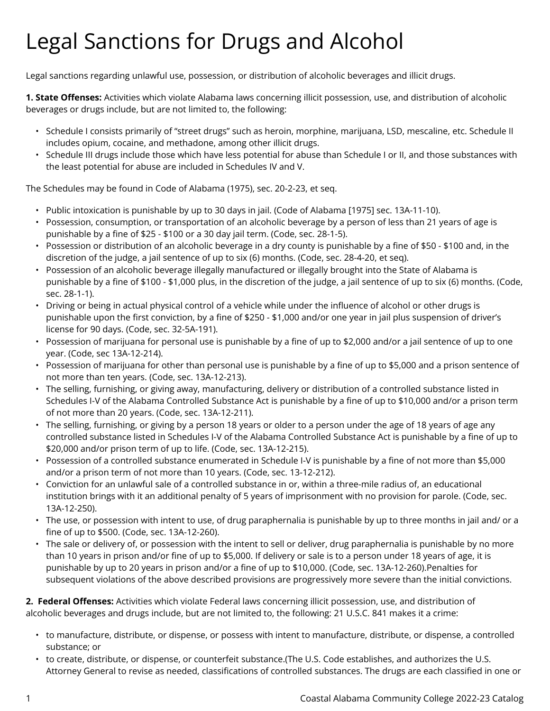## Legal Sanctions for Drugs and Alcohol

Legal sanctions regarding unlawful use, possession, or distribution of alcoholic beverages and illicit drugs.

**1. State Offenses:** Activities which violate Alabama laws concerning illicit possession, use, and distribution of alcoholic beverages or drugs include, but are not limited to, the following:

- Schedule I consists primarily of "street drugs" such as heroin, morphine, marijuana, LSD, mescaline, etc. Schedule II includes opium, cocaine, and methadone, among other illicit drugs.
- Schedule III drugs include those which have less potential for abuse than Schedule I or II, and those substances with the least potential for abuse are included in Schedules IV and V.

The Schedules may be found in Code of Alabama (1975), sec. 20-2-23, et seq.

- Public intoxication is punishable by up to 30 days in jail. (Code of Alabama [1975] sec. 13A-11-10).
- Possession, consumption, or transportation of an alcoholic beverage by a person of less than 21 years of age is punishable by a fine of \$25 - \$100 or a 30 day jail term. (Code, sec. 28-1-5).
- Possession or distribution of an alcoholic beverage in a dry county is punishable by a fine of \$50 \$100 and, in the discretion of the judge, a jail sentence of up to six (6) months. (Code, sec. 28-4-20, et seq).
- Possession of an alcoholic beverage illegally manufactured or illegally brought into the State of Alabama is punishable by a fine of \$100 - \$1,000 plus, in the discretion of the judge, a jail sentence of up to six (6) months. (Code, sec. 28-1-1).
- Driving or being in actual physical control of a vehicle while under the influence of alcohol or other drugs is punishable upon the first conviction, by a fine of \$250 - \$1,000 and/or one year in jail plus suspension of driver's license for 90 days. (Code, sec. 32-5A-191).
- Possession of marijuana for personal use is punishable by a fine of up to \$2,000 and/or a jail sentence of up to one year. (Code, sec 13A-12-214).
- Possession of marijuana for other than personal use is punishable by a fine of up to \$5,000 and a prison sentence of not more than ten years. (Code, sec. 13A-12-213).
- The selling, furnishing, or giving away, manufacturing, delivery or distribution of a controlled substance listed in Schedules I-V of the Alabama Controlled Substance Act is punishable by a fine of up to \$10,000 and/or a prison term of not more than 20 years. (Code, sec. 13A-12-211).
- The selling, furnishing, or giving by a person 18 years or older to a person under the age of 18 years of age any controlled substance listed in Schedules I-V of the Alabama Controlled Substance Act is punishable by a fine of up to \$20,000 and/or prison term of up to life. (Code, sec. 13A-12-215).
- Possession of a controlled substance enumerated in Schedule I-V is punishable by a fine of not more than \$5,000 and/or a prison term of not more than 10 years. (Code, sec. 13-12-212).
- Conviction for an unlawful sale of a controlled substance in or, within a three-mile radius of, an educational institution brings with it an additional penalty of 5 years of imprisonment with no provision for parole. (Code, sec. 13A-12-250).
- The use, or possession with intent to use, of drug paraphernalia is punishable by up to three months in jail and/ or a fine of up to \$500. (Code, sec. 13A-12-260).
- The sale or delivery of, or possession with the intent to sell or deliver, drug paraphernalia is punishable by no more than 10 years in prison and/or fine of up to \$5,000. If delivery or sale is to a person under 18 years of age, it is punishable by up to 20 years in prison and/or a fine of up to \$10,000. (Code, sec. 13A-12-260).Penalties for subsequent violations of the above described provisions are progressively more severe than the initial convictions.

**2. Federal Offenses:** Activities which violate Federal laws concerning illicit possession, use, and distribution of alcoholic beverages and drugs include, but are not limited to, the following: 21 U.S.C. 841 makes it a crime:

- to manufacture, distribute, or dispense, or possess with intent to manufacture, distribute, or dispense, a controlled substance; or
- to create, distribute, or dispense, or counterfeit substance.(The U.S. Code establishes, and authorizes the U.S. Attorney General to revise as needed, classifications of controlled substances. The drugs are each classified in one or